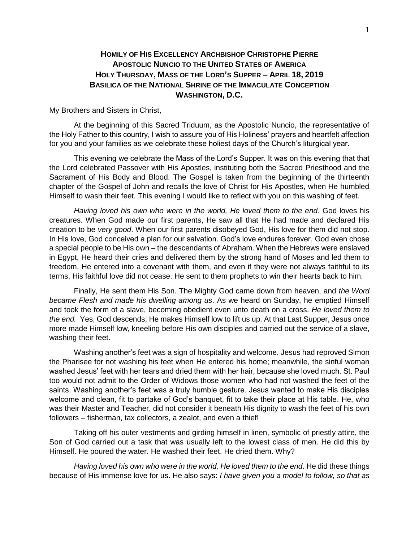## **HOMILY OF HIS EXCELLENCY ARCHBISHOP CHRISTOPHE PIERRE APOSTOLIC NUNCIO TO THE UNITED STATES OF AMERICA HOLY THURSDAY, MASS OF THE LORD'S SUPPER – APRIL 18, 2019 BASILICA OF THE NATIONAL SHRINE OF THE IMMACULATE CONCEPTION WASHINGTON, D.C.**

My Brothers and Sisters in Christ,

At the beginning of this Sacred Triduum, as the Apostolic Nuncio, the representative of the Holy Father to this country, I wish to assure you of His Holiness' prayers and heartfelt affection for you and your families as we celebrate these holiest days of the Church's liturgical year.

This evening we celebrate the Mass of the Lord's Supper. It was on this evening that that the Lord celebrated Passover with His Apostles, instituting both the Sacred Priesthood and the Sacrament of His Body and Blood. The Gospel is taken from the beginning of the thirteenth chapter of the Gospel of John and recalls the love of Christ for His Apostles, when He humbled Himself to wash their feet. This evening I would like to reflect with you on this washing of feet.

*Having loved his own who were in the world, He loved them to the end*. God loves his creatures. When God made our first parents, He saw all that He had made and declared His creation to be *very good*. When our first parents disobeyed God, His love for them did not stop. In His love, God conceived a plan for our salvation. God's love endures forever. God even chose a special people to be His own – the descendants of Abraham. When the Hebrews were enslaved in Egypt, He heard their cries and delivered them by the strong hand of Moses and led them to freedom. He entered into a covenant with them, and even if they were not always faithful to its terms, His faithful love did not cease. He sent to them prophets to win their hearts back to him.

Finally, He sent them His Son. The Mighty God came down from heaven, and *the Word became Flesh and made his dwelling among us*. As we heard on Sunday, he emptied Himself and took the form of a slave, becoming obedient even unto death on a cross. *He loved them to the end.* Yes, God descends; He makes Himself low to lift us up. At that Last Supper, Jesus once more made Himself low, kneeling before His own disciples and carried out the service of a slave, washing their feet.

Washing another's feet was a sign of hospitality and welcome. Jesus had reproved Simon the Pharisee for not washing his feet when He entered his home; meanwhile, the sinful woman washed Jesus' feet with her tears and dried them with her hair, because she loved much. St. Paul too would not admit to the Order of Widows those women who had not washed the feet of the saints. Washing another's feet was a truly humble gesture. Jesus wanted to make His disciples welcome and clean, fit to partake of God's banquet, fit to take their place at His table. He, who was their Master and Teacher, did not consider it beneath His dignity to wash the feet of his own followers – fisherman, tax collectors, a zealot, and even a thief!

Taking off his outer vestments and girding himself in linen, symbolic of priestly attire, the Son of God carried out a task that was usually left to the lowest class of men. He did this by Himself. He poured the water. He washed their feet. He dried them. Why?

*Having loved his own who were in the world, He loved them to the end*. He did these things because of His immense love for us. He also says: *I have given you a model to follow, so that as*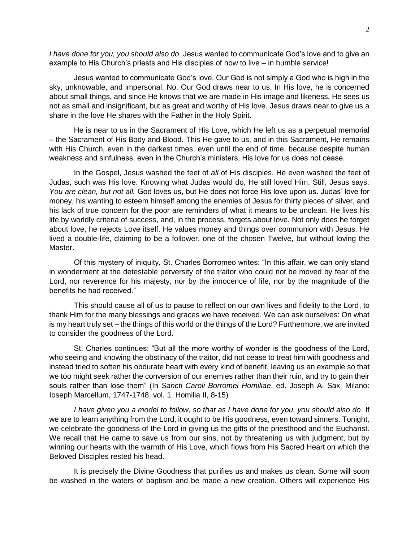*I have done for you, you should also do*. Jesus wanted to communicate God's love and to give an example to His Church's priests and His disciples of how to live – in humble service!

Jesus wanted to communicate God's love. Our God is not simply a God who is high in the sky, unknowable, and impersonal. No. Our God draws near to us. In His love, he is concerned about small things, and since He knows that we are made in His image and likeness, He sees us not as small and insignificant, but as great and worthy of His love. Jesus draws near to give us a share in the love He shares with the Father in the Holy Spirit.

He is near to us in the Sacrament of His Love, which He left us as a perpetual memorial – the Sacrament of His Body and Blood. This He gave to us, and in this Sacrament, He remains with His Church, even in the darkest times, even until the end of time, because despite human weakness and sinfulness, even in the Church's ministers, His love for us does not cease.

In the Gospel, Jesus washed the feet of *all* of His disciples. He even washed the feet of Judas, such was His love. Knowing what Judas would do, He still loved Him. Still, Jesus says: *You are clean, but not all.* God loves us, but He does not force His love upon us. Judas' love for money, his wanting to esteem himself among the enemies of Jesus for thirty pieces of silver, and his lack of true concern for the poor are reminders of what it means to be unclean. He lives his life by worldly criteria of success, and, in the process, forgets about love. Not only does he forget about love, he rejects Love itself. He values money and things over communion with Jesus. He lived a double-life, claiming to be a follower, one of the chosen Twelve, but without loving the Master.

Of this mystery of iniquity, St. Charles Borromeo writes: "In this affair, we can only stand in wonderment at the detestable perversity of the traitor who could not be moved by fear of the Lord, nor reverence for his majesty, nor by the innocence of life, nor by the magnitude of the benefits he had received."

This should cause all of us to pause to reflect on our own lives and fidelity to the Lord, to thank Him for the many blessings and graces we have received. We can ask ourselves: On what is my heart truly set – the things of this world or the things of the Lord? Furthermore, we are invited to consider the goodness of the Lord.

St. Charles continues: "But all the more worthy of wonder is the goodness of the Lord, who seeing and knowing the obstinacy of the traitor, did not cease to treat him with goodness and instead tried to soften his obdurate heart with every kind of benefit, leaving us an example so that we too might seek rather the conversion of our enemies rather than their ruin, and try to gain their souls rather than lose them" (In *Sancti Caroli Borromei Homiliae*, ed. Joseph A. Sax, Milano: Ioseph Marcellum, 1747-1748, vol. 1, Homilia II, 8-15)

*I have given you a model to follow, so that as I have done for you, you should also do*. If we are to learn anything from the Lord, it ought to be His goodness, even toward sinners. Tonight, we celebrate the goodness of the Lord in giving us the gifts of the priesthood and the Eucharist. We recall that He came to save us from our sins, not by threatening us with judgment, but by winning our hearts with the warmth of His Love, which flows from His Sacred Heart on which the Beloved Disciples rested his head.

It is precisely the Divine Goodness that purifies us and makes us clean. Some will soon be washed in the waters of baptism and be made a new creation. Others will experience His